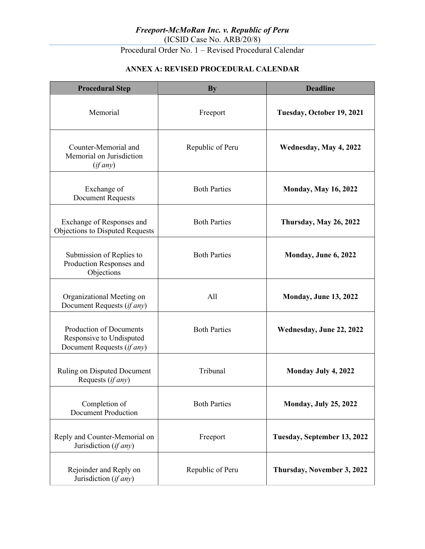Procedural Order No. 1 – Revised Procedural Calendar

### **ANNEX A: REVISED PROCEDURAL CALENDAR**

| <b>Procedural Step</b>                                                                   | <b>By</b>           | <b>Deadline</b>              |
|------------------------------------------------------------------------------------------|---------------------|------------------------------|
| Memorial                                                                                 | Freeport            | Tuesday, October 19, 2021    |
| Counter-Memorial and<br>Memorial on Jurisdiction<br>(if any)                             | Republic of Peru    | Wednesday, May 4, 2022       |
| Exchange of<br><b>Document Requests</b>                                                  | <b>Both Parties</b> | <b>Monday, May 16, 2022</b>  |
| Exchange of Responses and<br>Objections to Disputed Requests                             | <b>Both Parties</b> | Thursday, May 26, 2022       |
| Submission of Replies to<br>Production Responses and<br>Objections                       | <b>Both Parties</b> | Monday, June 6, 2022         |
| Organizational Meeting on<br>Document Requests (if any)                                  | A11                 | <b>Monday, June 13, 2022</b> |
| <b>Production of Documents</b><br>Responsive to Undisputed<br>Document Requests (if any) | <b>Both Parties</b> | Wednesday, June 22, 2022     |
| Ruling on Disputed Document<br>Requests (if any)                                         | Tribunal            | Monday July 4, 2022          |
| Completion of<br><b>Document Production</b>                                              | <b>Both Parties</b> | <b>Monday, July 25, 2022</b> |
| Reply and Counter-Memorial on<br>Jurisdiction (if any)                                   | Freeport            | Tuesday, September 13, 2022  |
| Rejoinder and Reply on<br>Jurisdiction (if any)                                          | Republic of Peru    | Thursday, November 3, 2022   |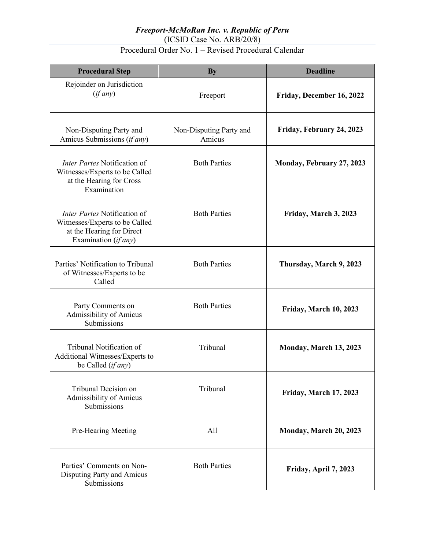#### *Freeport-McMoRan Inc. v. Republic of Peru* (ICSID Case No. ARB/20/8)

## Procedural Order No. 1 – Revised Procedural Calendar

| <b>Procedural Step</b>                                                                                              | <b>By</b>                         | <b>Deadline</b>           |
|---------------------------------------------------------------------------------------------------------------------|-----------------------------------|---------------------------|
| Rejoinder on Jurisdiction<br>(if any)                                                                               | Freeport                          | Friday, December 16, 2022 |
| Non-Disputing Party and<br>Amicus Submissions (if any)                                                              | Non-Disputing Party and<br>Amicus | Friday, February 24, 2023 |
| <i>Inter Partes</i> Notification of<br>Witnesses/Experts to be Called<br>at the Hearing for Cross<br>Examination    | <b>Both Parties</b>               | Monday, February 27, 2023 |
| Inter Partes Notification of<br>Witnesses/Experts to be Called<br>at the Hearing for Direct<br>Examination (if any) | <b>Both Parties</b>               | Friday, March 3, 2023     |
| Parties' Notification to Tribunal<br>of Witnesses/Experts to be<br>Called                                           | <b>Both Parties</b>               | Thursday, March 9, 2023   |
| Party Comments on<br>Admissibility of Amicus<br>Submissions                                                         | <b>Both Parties</b>               | Friday, March 10, 2023    |
| Tribunal Notification of<br>Additional Witnesses/Experts to<br>be Called (if any)                                   | Tribunal                          | Monday, March 13, 2023    |
| Tribunal Decision on<br>Admissibility of Amicus<br>Submissions                                                      | Tribunal                          | Friday, March 17, 2023    |
| Pre-Hearing Meeting                                                                                                 | All                               | Monday, March 20, 2023    |
| Parties' Comments on Non-<br>Disputing Party and Amicus<br>Submissions                                              | <b>Both Parties</b>               | Friday, April 7, 2023     |